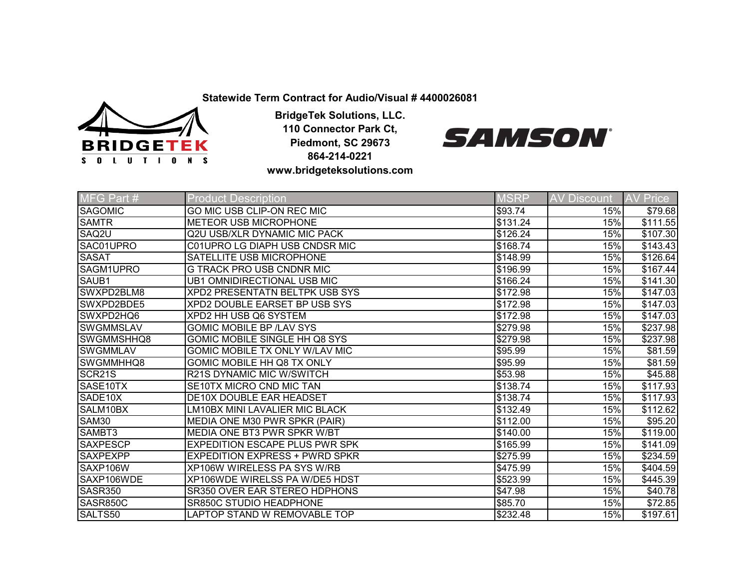**Statewide Term Contract for Audio/Visual # 4400026081**



**BridgeTek Solutions, LLC. 110 Connector Park Ct, Piedmont, SC 29673 864-214-0221 www.bridgeteksolutions.com**



| MFG Part #           | <b>Product Description</b>            | <b>MSRP</b>      | <b>AV Discount</b> | <b>AV</b><br><b>Price</b> |
|----------------------|---------------------------------------|------------------|--------------------|---------------------------|
| <b>SAGOMIC</b>       | <b>GO MIC USB CLIP-ON REC MIC</b>     | \$93.74          | 15%                | \$79.68                   |
| <b>SAMTR</b>         | <b>METEOR USB MICROPHONE</b>          | \$131.24         | 15%                | \$111.55                  |
| SAQ2U                | <b>Q2U USB/XLR DYNAMIC MIC PACK</b>   | \$126.24         | 15%                | \$107.30                  |
| SAC01UPRO            | C01UPRO LG DIAPH USB CNDSR MIC        | \$168.74         | 15%                | \$143.43                  |
| <b>SASAT</b>         | SATELLITE USB MICROPHONE              | \$148.99         | 15%                | \$126.64                  |
| SAGM1UPRO            | <b>G TRACK PRO USB CNDNR MIC</b>      | \$196.99         | 15%                | \$167.44                  |
| SAUB1                | <b>UB1 OMNIDIRECTIONAL USB MIC</b>    | \$166.24         | 15%                | \$141.30                  |
| SWXPD2BLM8           | XPD2 PRESENTATN BELTPK USB SYS        | \$172.98         | 15%                | \$147.03                  |
| SWXPD2BDE5           | <b>XPD2 DOUBLE EARSET BP USB SYS</b>  | \$172.98         | 15%                | \$147.03                  |
| SWXPD2HQ6            | XPD2 HH USB Q6 SYSTEM                 | \$172.98         | 15%                | \$147.03                  |
| <b>SWGMMSLAV</b>     | <b>GOMIC MOBILE BP /LAV SYS</b>       | \$279.98         | 15%                | \$237.98                  |
| SWGMMSHHQ8           | GOMIC MOBILE SINGLE HH Q8 SYS         | $\sqrt{$279.98}$ | 15%                | \$237.98                  |
| <b>SWGMMLAV</b>      | GOMIC MOBILE TX ONLY W/LAV MIC        | \$95.99          | 15%                | \$81.59                   |
| SWGMMHHQ8            | GOMIC MOBILE HH Q8 TX ONLY            | \$95.99          | 15%                | \$81.59                   |
| SCR <sub>21</sub> S  | R21S DYNAMIC MIC W/SWITCH             | \$53.98          | 15%                | $\overline{$45.88}$       |
| SASE <sub>10TX</sub> | SE10TX MICRO CND MIC TAN              | \$138.74         | 15%                | \$117.93                  |
| SADE10X              | <b>DE10X DOUBLE EAR HEADSET</b>       | \$138.74         | 15%                | \$117.93                  |
| SALM10BX             | <b>LM10BX MINI LAVALIER MIC BLACK</b> | \$132.49         | 15%                | \$112.62                  |
| <b>SAM30</b>         | MEDIA ONE M30 PWR SPKR (PAIR)         | \$112.00         | 15%                | \$95.20                   |
| SAMBT3               | MEDIA ONE BT3 PWR SPKR W/BT           | \$140.00         | 15%                | \$119.00                  |
| <b>SAXPESCP</b>      | <b>EXPEDITION ESCAPE PLUS PWR SPK</b> | \$165.99         | 15%                | \$141.09                  |
| <b>SAXPEXPP</b>      | <b>EXPEDITION EXPRESS + PWRD SPKR</b> | \$275.99         | 15%                | \$234.59                  |
| SAXP106W             | <b>XP106W WIRELESS PA SYS W/RB</b>    | \$475.99         | 15%                | \$404.59                  |
| SAXP106WDE           | XP106WDE WIRELSS PA W/DE5 HDST        | \$523.99         | 15%                | \$445.39                  |
| <b>SASR350</b>       | SR350 OVER EAR STEREO HDPHONS         | \$47.98          | 15%                | \$40.78                   |
| SASR850C             | SR850C STUDIO HEADPHONE               | \$85.70          | 15%                | \$72.85                   |
| SALTS50              | LAPTOP STAND W REMOVABLE TOP          | \$232.48         | 15%                | \$197.61                  |